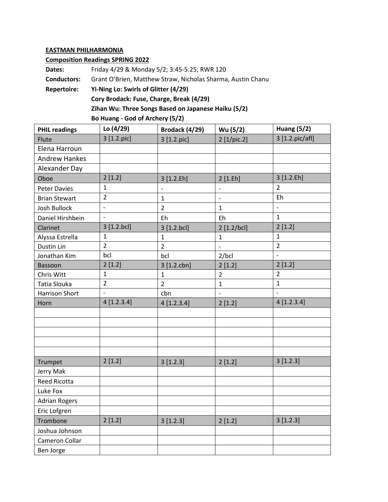## **EASTMAN PHILHARMONIA**

## **Composition Readings SPRING 2022**

| Dates:             | Friday 4/29 & Monday 5/2; 3:45-5:25; RWR 120                |  |  |  |
|--------------------|-------------------------------------------------------------|--|--|--|
| <b>Conductors:</b> | Grant O'Brien, Matthew Straw, Nicholas Sharma, Austin Chanu |  |  |  |
| <b>Repertoire:</b> | Yi-Ning Lo: Swirls of Glitter (4/29)                        |  |  |  |
|                    | Cory Brodack: Fuse, Charge, Break (4/29)                    |  |  |  |
|                    | Zihan Wu: Three Songs Based on Japanese Haiku (5/2)         |  |  |  |

| Bo Huang - God of Archery (5/2) |  |  |
|---------------------------------|--|--|
|---------------------------------|--|--|

| <b>PHIL readings</b> | Lo (4/29)      | Brodack (4/29)           | Wu (5/2)                 | <b>Huang (5/2)</b>       |
|----------------------|----------------|--------------------------|--------------------------|--------------------------|
| Flute                | 3 [1.2.pic]    | 3 [1.2.pic]              | 2 [1/pic.2]              | 3 [1.2.pic/afl]          |
| Elena Harroun        |                |                          |                          |                          |
| <b>Andrew Hankes</b> |                |                          |                          |                          |
| Alexander Day        |                |                          |                          |                          |
| Oboe                 | 2[1.2]         | 3 [1.2.Eh]               | 2[1.Eh]                  | 3 [1.2.Eh]               |
| <b>Peter Davies</b>  | $\mathbf{1}$   | $\overline{\phantom{a}}$ | $\overline{\phantom{a}}$ | 2                        |
| <b>Brian Stewart</b> | $\overline{2}$ | 1                        | $\frac{1}{2}$            | Eh                       |
| Josh Bullock         | $\blacksquare$ | $\overline{2}$           | $\mathbf{1}$             | $\overline{\phantom{a}}$ |
| Daniel Hirshbein     | $\blacksquare$ | Eh                       | Eh                       | $\mathbf{1}$             |
| Clarinet             | 3 [1.2.bcl]    | 3 [1.2.bcl]              | 2 [1.2/bcl]              | 2[1.2]                   |
| Alyssa Estrella      | $\mathbf{1}$   | $\mathbf{1}$             | $\mathbf{1}$             | 1                        |
| Dustin Lin           | $\overline{2}$ | $\overline{2}$           | $\overline{a}$           | $\overline{2}$           |
| Jonathan Kim         | bcl            | bcl                      | 2/bcl                    | $\overline{\phantom{a}}$ |
| Bassoon              | 2[1.2]         | 3 [1.2.cbn]              | 2[1.2]                   | 2[1.2]                   |
| Chris Witt           | $\mathbf{1}$   | $\mathbf{1}$             | $\overline{2}$           | $\overline{2}$           |
| Tatia Slouka         | $\overline{2}$ | $\overline{2}$           | $\mathbf{1}$             | $\mathbf{1}$             |
| Harrison Short       |                | cbn                      | $\overline{a}$           | $\overline{a}$           |
| Horn                 | 4[1.2.3.4]     | 4[1.2.3.4]               | 2[1.2]                   | 4[1.2.3.4]               |
|                      |                |                          |                          |                          |
|                      |                |                          |                          |                          |
|                      |                |                          |                          |                          |
|                      |                |                          |                          |                          |
|                      |                |                          |                          |                          |
| Trumpet              | 2[1.2]         | 3[1.2.3]                 | 2[1.2]                   | 3[1.2.3]                 |
| Jerry Mak            |                |                          |                          |                          |
| Reed Ricotta         |                |                          |                          |                          |
| Luke Fox             |                |                          |                          |                          |
| <b>Adrian Rogers</b> |                |                          |                          |                          |
| Eric Lofgren         |                |                          |                          |                          |
| Trombone             | 2[1.2]         | 3[1.2.3]                 | 2[1.2]                   | 3[1.2.3]                 |
| Joshua Johnson       |                |                          |                          |                          |
| Cameron Collar       |                |                          |                          |                          |
| Ben Jorge            |                |                          |                          |                          |